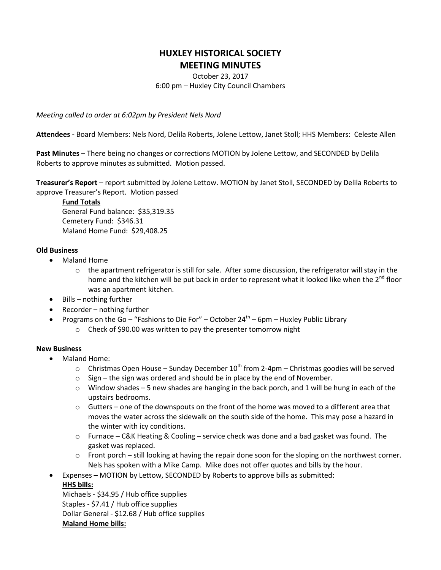# **HUXLEY HISTORICAL SOCIETY MEETING MINUTES**

October 23, 2017 6:00 pm – Huxley City Council Chambers

*Meeting called to order at 6:02pm by President Nels Nord*

**Attendees -** Board Members: Nels Nord, Delila Roberts, Jolene Lettow, Janet Stoll; HHS Members: Celeste Allen

**Past Minutes** – There being no changes or corrections MOTION by Jolene Lettow, and SECONDED by Delila Roberts to approve minutes as submitted. Motion passed.

**Treasurer's Report** – report submitted by Jolene Lettow. MOTION by Janet Stoll, SECONDED by Delila Roberts to approve Treasurer's Report. Motion passed

### **Fund Totals**

General Fund balance: \$35,319.35 Cemetery Fund: \$346.31 Maland Home Fund: \$29,408.25

# **Old Business**

- Maland Home
	- $\circ$  the apartment refrigerator is still for sale. After some discussion, the refrigerator will stay in the home and the kitchen will be put back in order to represent what it looked like when the  $2^{nd}$  floor was an apartment kitchen.
- $\bullet$  Bills nothing further
- $\bullet$  Recorder nothing further
- Programs on the Go "Fashions to Die For" October 24<sup>th</sup> 6pm Huxley Public Library
	- o Check of \$90.00 was written to pay the presenter tomorrow night

# **New Business**

- Maland Home:
	- $\circ$  Christmas Open House Sunday December 10<sup>th</sup> from 2-4pm Christmas goodies will be served
	- $\circ$  Sign the sign was ordered and should be in place by the end of November.
	- $\circ$  Window shades 5 new shades are hanging in the back porch, and 1 will be hung in each of the upstairs bedrooms.
	- $\circ$  Gutters one of the downspouts on the front of the home was moved to a different area that moves the water across the sidewalk on the south side of the home. This may pose a hazard in the winter with icy conditions.
	- $\circ$  Furnace C&K Heating & Cooling service check was done and a bad gasket was found. The gasket was replaced.
	- $\circ$  Front porch still looking at having the repair done soon for the sloping on the northwest corner. Nels has spoken with a Mike Camp. Mike does not offer quotes and bills by the hour.
- Expenses **–** MOTION by Lettow, SECONDED by Roberts to approve bills as submitted:

# **HHS bills:**

Michaels - \$34.95 / Hub office supplies Staples - \$7.41 / Hub office supplies Dollar General - \$12.68 / Hub office supplies **Maland Home bills:**